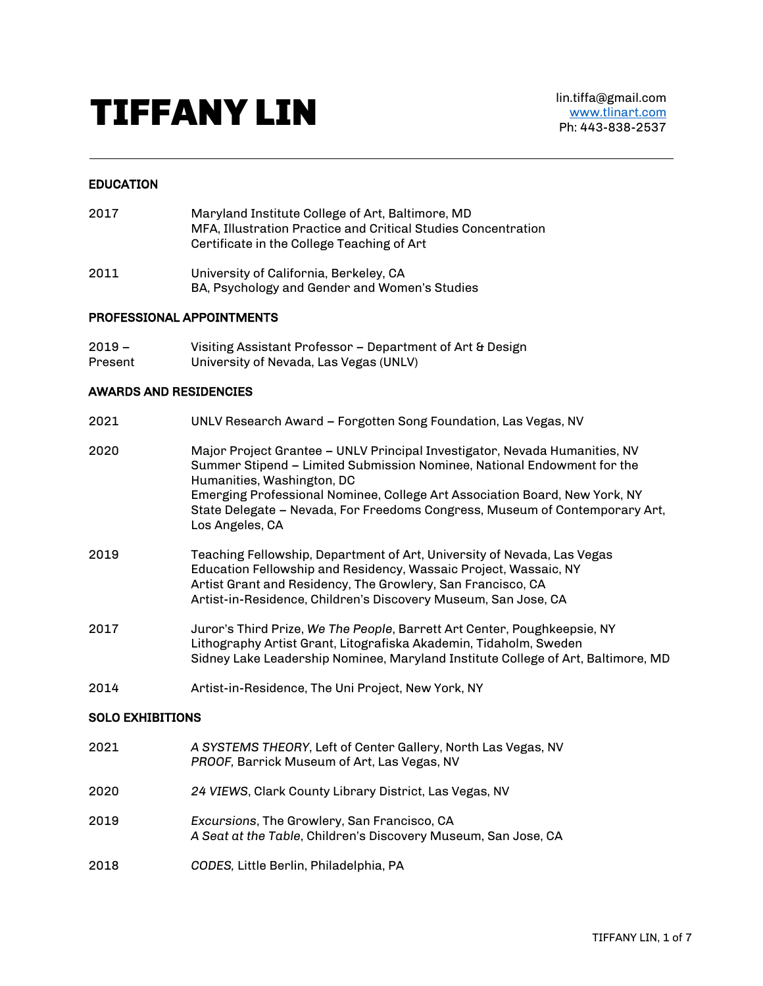# TIFFANY LIN lin.tiffa@gmail.com

# EDUCATION

- 2017 Maryland Institute College of Art, Baltimore, MD MFA, Illustration Practice and Critical Studies Concentration Certificate in the College Teaching of Art
- 2011 University of California, Berkeley, CA BA, Psychology and Gender and Women's Studies

# PROFESSIONAL APPOINTMENTS

2019 – Present Visiting Assistant Professor – Department of Art & Design University of Nevada, Las Vegas (UNLV)

# AWARDS AND RESIDENCIES

| 2021                    | UNLV Research Award - Forgotten Song Foundation, Las Vegas, NV                                                                                                                                                                                                                                                                                                      |  |
|-------------------------|---------------------------------------------------------------------------------------------------------------------------------------------------------------------------------------------------------------------------------------------------------------------------------------------------------------------------------------------------------------------|--|
| 2020                    | Major Project Grantee - UNLV Principal Investigator, Nevada Humanities, NV<br>Summer Stipend – Limited Submission Nominee, National Endowment for the<br>Humanities, Washington, DC<br>Emerging Professional Nominee, College Art Association Board, New York, NY<br>State Delegate - Nevada, For Freedoms Congress, Museum of Contemporary Art,<br>Los Angeles, CA |  |
| 2019                    | Teaching Fellowship, Department of Art, University of Nevada, Las Vegas<br>Education Fellowship and Residency, Wassaic Project, Wassaic, NY<br>Artist Grant and Residency, The Growlery, San Francisco, CA<br>Artist-in-Residence, Children's Discovery Museum, San Jose, CA                                                                                        |  |
| 2017                    | Juror's Third Prize, We The People, Barrett Art Center, Poughkeepsie, NY<br>Lithography Artist Grant, Litografiska Akademin, Tidaholm, Sweden<br>Sidney Lake Leadership Nominee, Maryland Institute College of Art, Baltimore, MD                                                                                                                                   |  |
| 2014                    | Artist-in-Residence, The Uni Project, New York, NY                                                                                                                                                                                                                                                                                                                  |  |
| <b>SOLO EXHIBITIONS</b> |                                                                                                                                                                                                                                                                                                                                                                     |  |
| 2021                    | A SYSTEMS THEORY, Left of Center Gallery, North Las Vegas, NV<br>PROOF, Barrick Museum of Art, Las Vegas, NV                                                                                                                                                                                                                                                        |  |
| 2020                    | 24 VIEWS, Clark County Library District, Las Vegas, NV                                                                                                                                                                                                                                                                                                              |  |
| 2019                    | Excursions, The Growlery, San Francisco, CA<br>A Seat at the Table, Children's Discovery Museum, San Jose, CA                                                                                                                                                                                                                                                       |  |
|                         |                                                                                                                                                                                                                                                                                                                                                                     |  |

2018 *CODES,* Little Berlin, Philadelphia, PA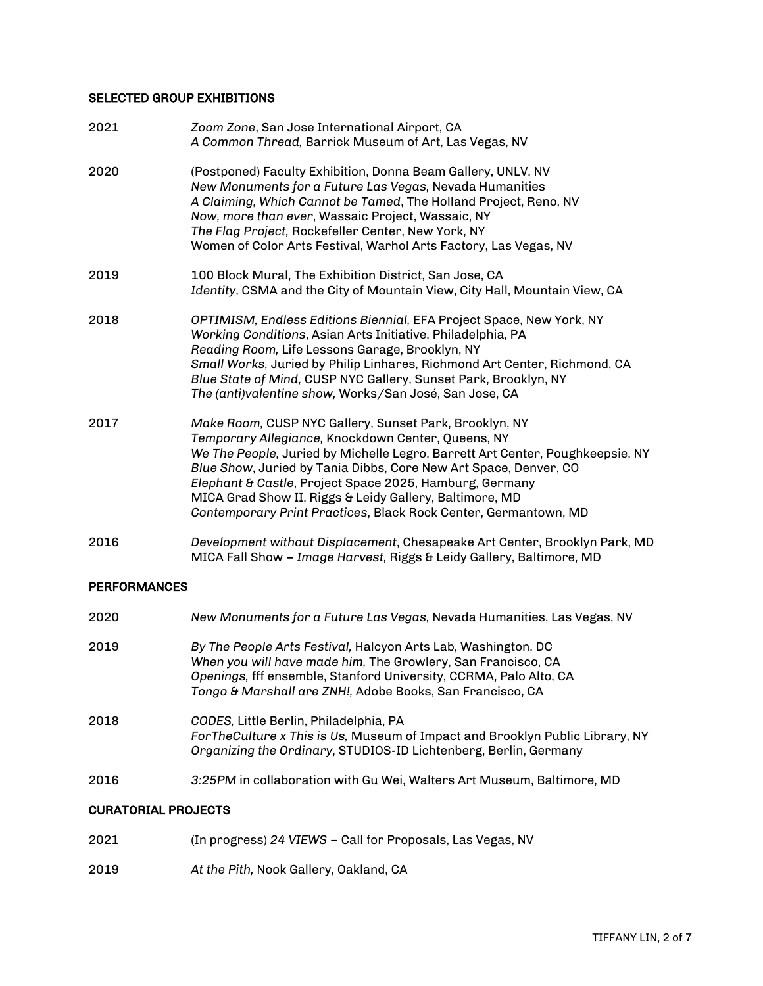# SELECTED GROUP EXHIBITIONS

| 2021 | Zoom Zone, San Jose International Airport, CA<br>A Common Thread, Barrick Museum of Art, Las Vegas, NV                                                                                                                                                                                                                                                                                                                                                     |
|------|------------------------------------------------------------------------------------------------------------------------------------------------------------------------------------------------------------------------------------------------------------------------------------------------------------------------------------------------------------------------------------------------------------------------------------------------------------|
| 2020 | (Postponed) Faculty Exhibition, Donna Beam Gallery, UNLV, NV<br>New Monuments for a Future Las Vegas, Nevada Humanities<br>A Claiming, Which Cannot be Tamed, The Holland Project, Reno, NV<br>Now, more than ever, Wassaic Project, Wassaic, NY<br>The Flag Project, Rockefeller Center, New York, NY<br>Women of Color Arts Festival, Warhol Arts Factory, Las Vegas, NV                                                                                 |
| 2019 | 100 Block Mural, The Exhibition District, San Jose, CA<br>Identity, CSMA and the City of Mountain View, City Hall, Mountain View, CA                                                                                                                                                                                                                                                                                                                       |
| 2018 | OPTIMISM, Endless Editions Biennial, EFA Project Space, New York, NY<br>Working Conditions, Asian Arts Initiative, Philadelphia, PA<br>Reading Room, Life Lessons Garage, Brooklyn, NY<br>Small Works, Juried by Philip Linhares, Richmond Art Center, Richmond, CA<br>Blue State of Mind, CUSP NYC Gallery, Sunset Park, Brooklyn, NY<br>The (anti)valentine show, Works/San José, San Jose, CA                                                           |
| 2017 | Make Room, CUSP NYC Gallery, Sunset Park, Brooklyn, NY<br>Temporary Allegiance, Knockdown Center, Queens, NY<br>We The People, Juried by Michelle Legro, Barrett Art Center, Poughkeepsie, NY<br>Blue Show, Juried by Tania Dibbs, Core New Art Space, Denver, CO<br>Elephant & Castle, Project Space 2025, Hamburg, Germany<br>MICA Grad Show II, Riggs & Leidy Gallery, Baltimore, MD<br>Contemporary Print Practices, Black Rock Center, Germantown, MD |
| 2016 | Development without Displacement, Chesapeake Art Center, Brooklyn Park, MD<br>MICA Fall Show - Image Harvest, Riggs & Leidy Gallery, Baltimore, MD                                                                                                                                                                                                                                                                                                         |

# **PERFORMANCES**

| 2020 | New Monuments for a Future Las Vegas, Nevada Humanities, Las Vegas, NV                                                                                                                                                                                          |
|------|-----------------------------------------------------------------------------------------------------------------------------------------------------------------------------------------------------------------------------------------------------------------|
| 2019 | By The People Arts Festival, Halcyon Arts Lab, Washington, DC<br>When you will have made him, The Growlery, San Francisco, CA<br>Openings, fff ensemble, Stanford University, CCRMA, Palo Alto, CA<br>Tongo & Marshall are ZNH!, Adobe Books, San Francisco, CA |
| 2018 | CODES, Little Berlin, Philadelphia, PA<br>For The Culture x This is Us, Museum of Impact and Brooklyn Public Library, NY<br>Organizing the Ordinary, STUDIOS-ID Lichtenberg, Berlin, Germany                                                                    |
| 2016 | 3:25PM in collaboration with Gu Wei, Walters Art Museum, Baltimore, MD                                                                                                                                                                                          |

# CURATORIAL PROJECTS

2021 (In progress) *24 VIEWS –* Call for Proposals, Las Vegas, NV

# 2019 *At the Pith,* Nook Gallery, Oakland, CA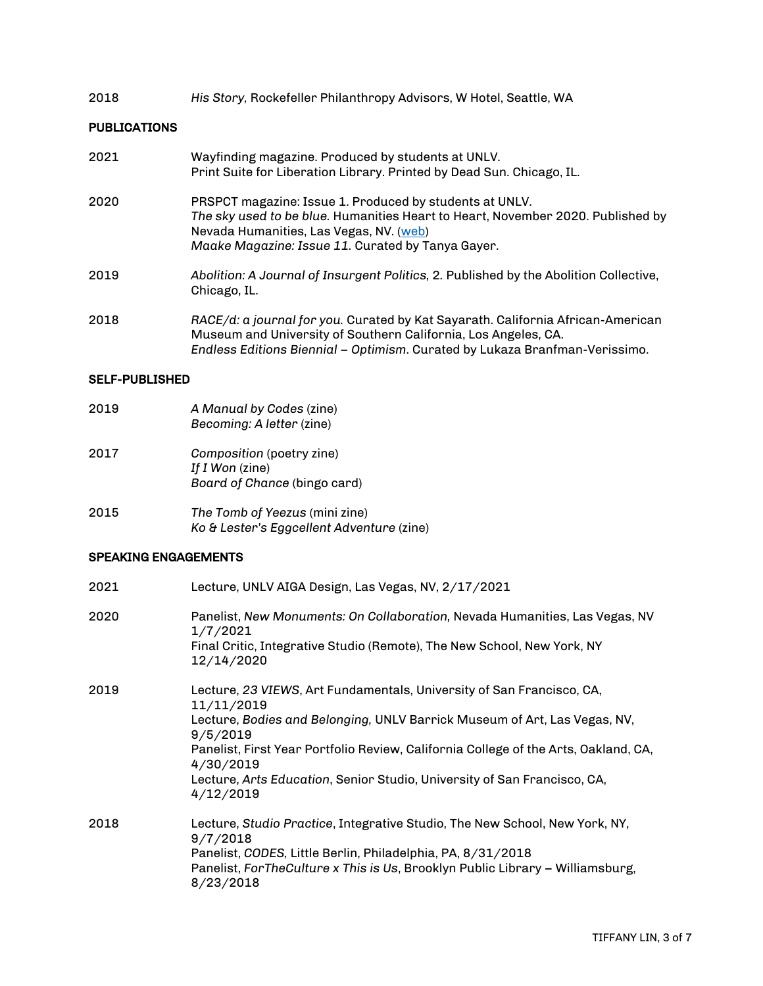#### 2018 *His Story,* Rockefeller Philanthropy Advisors, W Hotel, Seattle, WA

## PUBLICATIONS

| 2021 | Wayfinding magazine. Produced by students at UNLV.<br>Print Suite for Liberation Library. Printed by Dead Sun. Chicago, IL.                                                                                                                       |
|------|---------------------------------------------------------------------------------------------------------------------------------------------------------------------------------------------------------------------------------------------------|
| 2020 | <b>PRSPCT</b> magazine: Issue 1. Produced by students at UNLV.<br>The sky used to be blue. Humanities Heart to Heart, November 2020. Published by<br>Nevada Humanities, Las Vegas, NV. (web)<br>Maake Magazine: Issue 11. Curated by Tanya Gayer. |
| 2019 | Abolition: A Journal of Insurgent Politics, 2. Published by the Abolition Collective,<br>Chicago, IL.                                                                                                                                             |
| 2018 | RACE/d: a journal for you. Curated by Kat Sayarath. California African-American<br>Museum and University of Southern California, Los Angeles, CA.<br>Endless Editions Biennial - Optimism. Curated by Lukaza Branfman-Verissimo.                  |

#### SELF-PUBLISHED

- 2019 *A Manual by Codes* (zine) *Becoming: A letter* (zine)
- 2017 *Composition* (poetry zine) *If I Won* (zine) *Board of Chance* (bingo card)
- 2015 *The Tomb of Yeezus* (mini zine) *Ko & Lester's Eggcellent Adventure* (zine)

# SPEAKING ENGAGEMENTS

| 2021 | Lecture, UNLV AIGA Design, Las Vegas, NV, 2/17/2021                                                                                                                                                                                                                                                                                                                       |
|------|---------------------------------------------------------------------------------------------------------------------------------------------------------------------------------------------------------------------------------------------------------------------------------------------------------------------------------------------------------------------------|
| 2020 | Panelist, New Monuments: On Collaboration, Nevada Humanities, Las Vegas, NV<br>1/7/2021<br>Final Critic, Integrative Studio (Remote), The New School, New York, NY<br>12/14/2020                                                                                                                                                                                          |
| 2019 | Lecture, 23 VIEWS, Art Fundamentals, University of San Francisco, CA,<br>11/11/2019<br>Lecture, Bodies and Belonging, UNLV Barrick Museum of Art, Las Vegas, NV,<br>9/5/2019<br>Panelist, First Year Portfolio Review, California College of the Arts, Oakland, CA,<br>4/30/2019<br>Lecture, Arts Education, Senior Studio, University of San Francisco, CA,<br>4/12/2019 |
| 2018 | Lecture, Studio Practice, Integrative Studio, The New School, New York, NY,<br>9/7/2018<br>Panelist, CODES, Little Berlin, Philadelphia, PA, 8/31/2018<br>Panelist, ForTheCulture x This is Us, Brooklyn Public Library - Williamsburg,<br>8/23/2018                                                                                                                      |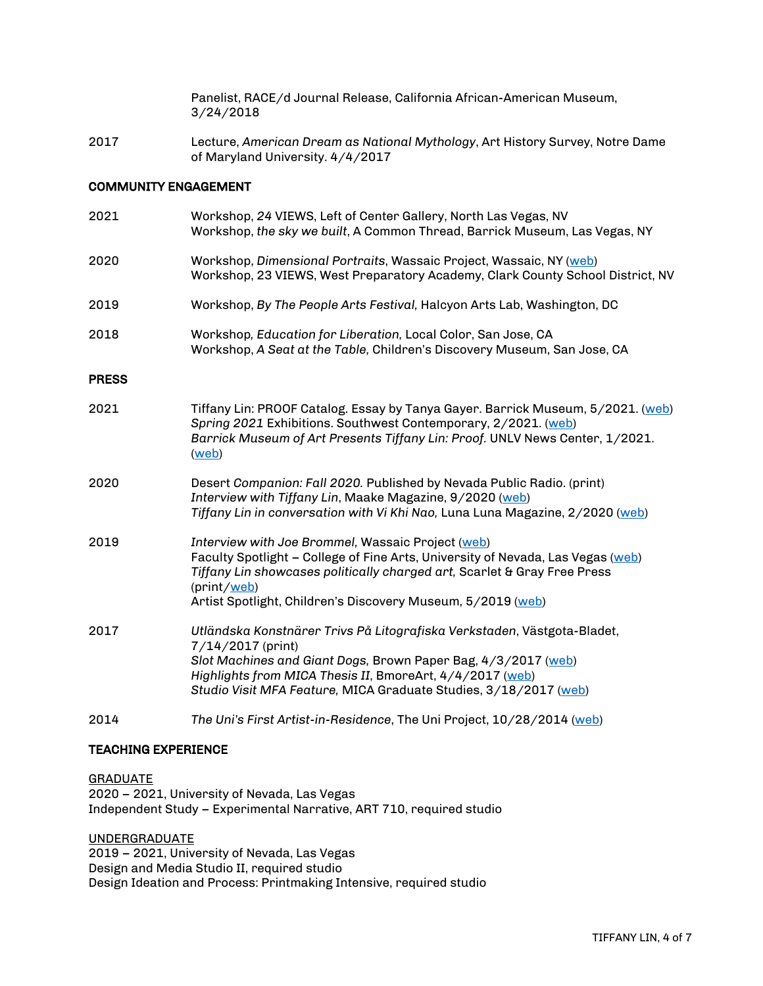Panelist, RACE/d Journal Release, California African-American Museum, 3/24/2018

2017 Lecture, *American Dream as National Mythology*, Art History Survey, Notre Dame of Maryland University. 4/4/2017

## COMMUNITY ENGAGEMENT

| 2021         | Workshop, 24 VIEWS, Left of Center Gallery, North Las Vegas, NV<br>Workshop, the sky we built, A Common Thread, Barrick Museum, Las Vegas, NY                                                                                                                                                  |
|--------------|------------------------------------------------------------------------------------------------------------------------------------------------------------------------------------------------------------------------------------------------------------------------------------------------|
| 2020         | Workshop, Dimensional Portraits, Wassaic Project, Wassaic, NY (web)<br>Workshop, 23 VIEWS, West Preparatory Academy, Clark County School District, NV                                                                                                                                          |
| 2019         | Workshop, By The People Arts Festival, Halcyon Arts Lab, Washington, DC                                                                                                                                                                                                                        |
| 2018         | Workshop, Education for Liberation, Local Color, San Jose, CA<br>Workshop, A Seat at the Table, Children's Discovery Museum, San Jose, CA                                                                                                                                                      |
| <b>PRESS</b> |                                                                                                                                                                                                                                                                                                |
| 2021         | Tiffany Lin: PROOF Catalog. Essay by Tanya Gayer. Barrick Museum, 5/2021. (web)<br>Spring 2021 Exhibitions. Southwest Contemporary, 2/2021. (web)<br>Barrick Museum of Art Presents Tiffany Lin: Proof. UNLV News Center, 1/2021.<br>(web)                                                     |
| 2020         | Desert Companion: Fall 2020. Published by Nevada Public Radio. (print)<br>Interview with Tiffany Lin, Maake Magazine, 9/2020 (web)<br>Tiffany Lin in conversation with Vi Khi Nao, Luna Luna Magazine, 2/2020 (web)                                                                            |
| 2019         | Interview with Joe Brommel, Wassaic Project (web)<br>Faculty Spotlight - College of Fine Arts, University of Nevada, Las Vegas (web)<br>Tiffany Lin showcases politically charged art, Scarlet & Gray Free Press<br>(print/web)<br>Artist Spotlight, Children's Discovery Museum, 5/2019 (web) |
| 2017         | Utländska Konstnärer Trivs På Litografiska Verkstaden, Västgota-Bladet,<br>7/14/2017 (print)<br>Slot Machines and Giant Dogs, Brown Paper Bag, 4/3/2017 (web)<br>Highlights from MICA Thesis II, BmoreArt, 4/4/2017 (web)<br>Studio Visit MFA Feature, MICA Graduate Studies, 3/18/2017 (web)  |
| 2014         | The Uni's First Artist-in-Residence, The Uni Project, 10/28/2014 (web)                                                                                                                                                                                                                         |

# TEACHING EXPERIENCE

**GRADUATE** 2020 – 2021, University of Nevada, Las Vegas Independent Study – Experimental Narrative, ART 710, required studio

UNDERGRADUATE 2019 – 2021, University of Nevada, Las Vegas Design and Media Studio II, required studio Design Ideation and Process: Printmaking Intensive, required studio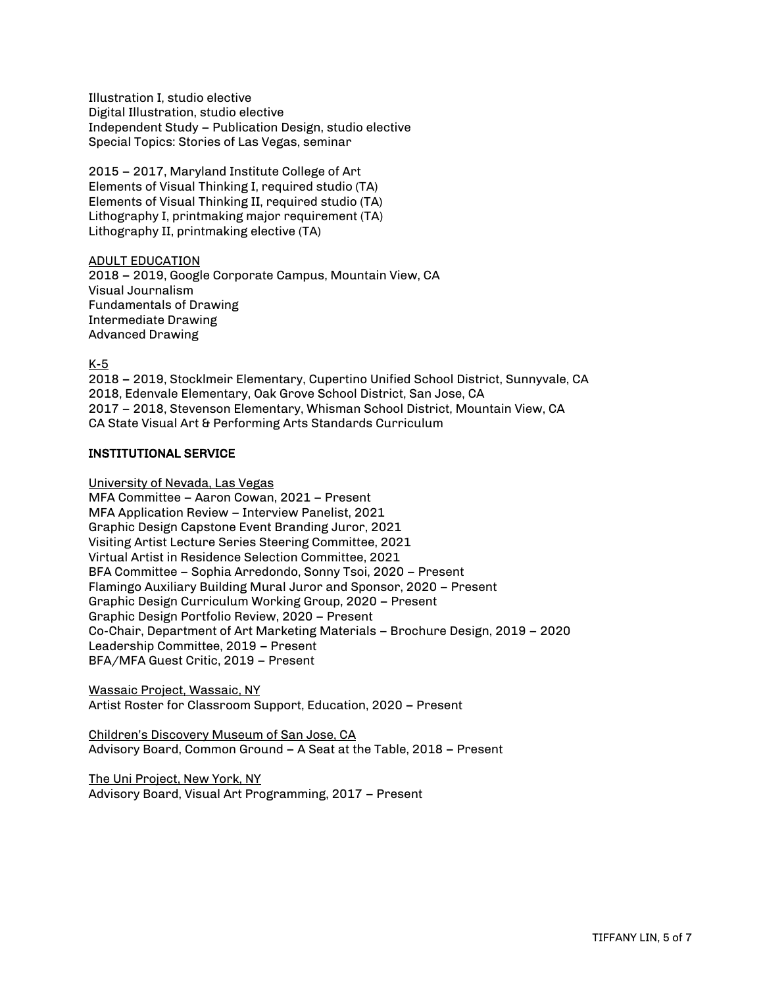Illustration I, studio elective Digital Illustration, studio elective Independent Study – Publication Design, studio elective Special Topics: Stories of Las Vegas, seminar

2015 – 2017, Maryland Institute College of Art Elements of Visual Thinking I, required studio (TA) Elements of Visual Thinking II, required studio (TA) Lithography I, printmaking major requirement (TA) Lithography II, printmaking elective (TA)

ADULT EDUCATION 2018 – 2019, Google Corporate Campus, Mountain View, CA Visual Journalism Fundamentals of Drawing Intermediate Drawing Advanced Drawing

K-5

2018 – 2019, Stocklmeir Elementary, Cupertino Unified School District, Sunnyvale, CA 2018, Edenvale Elementary, Oak Grove School District, San Jose, CA 2017 – 2018, Stevenson Elementary, Whisman School District, Mountain View, CA CA State Visual Art & Performing Arts Standards Curriculum

# INSTITUTIONAL SERVICE

University of Nevada, Las Vegas

MFA Committee – Aaron Cowan, 2021 – Present MFA Application Review – Interview Panelist, 2021 Graphic Design Capstone Event Branding Juror, 2021 Visiting Artist Lecture Series Steering Committee, 2021 Virtual Artist in Residence Selection Committee, 2021 BFA Committee – Sophia Arredondo, Sonny Tsoi, 2020 – Present Flamingo Auxiliary Building Mural Juror and Sponsor, 2020 – Present Graphic Design Curriculum Working Group, 2020 – Present Graphic Design Portfolio Review, 2020 – Present Co-Chair, Department of Art Marketing Materials – Brochure Design, 2019 – 2020 Leadership Committee, 2019 – Present BFA/MFA Guest Critic, 2019 – Present

Wassaic Project, Wassaic, NY Artist Roster for Classroom Support, Education, 2020 – Present

Children's Discovery Museum of San Jose, CA Advisory Board, Common Ground – A Seat at the Table, 2018 – Present

The Uni Project, New York, NY Advisory Board, Visual Art Programming, 2017 – Present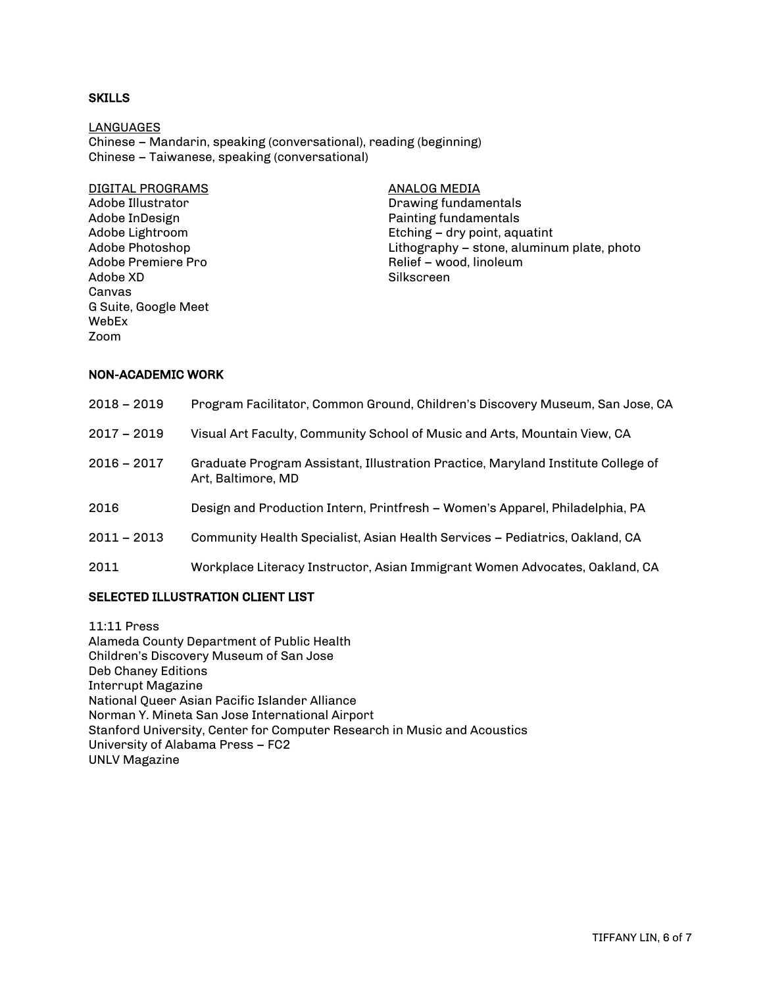# SKILLS

LANGUAGES Chinese – Mandarin, speaking (conversational), reading (beginning) Chinese – Taiwanese, speaking (conversational)

DIGITAL PROGRAMS Adobe Illustrator Adobe InDesign Adobe Lightroom Adobe Photoshop Adobe Premiere Pro Adobe XD Canvas G Suite, Google Meet WebEx Zoom

ANALOG MEDIA Drawing fundamentals Painting fundamentals Etching – dry point, aquatint Lithography – stone, aluminum plate, photo Relief – wood, linoleum Silkscreen

#### NON-ACADEMIC WORK

| $2018 - 2019$ | Program Facilitator, Common Ground, Children's Discovery Museum, San Jose, CA                          |
|---------------|--------------------------------------------------------------------------------------------------------|
| $2017 - 2019$ | Visual Art Faculty, Community School of Music and Arts, Mountain View, CA                              |
| $2016 - 2017$ | Graduate Program Assistant, Illustration Practice, Maryland Institute College of<br>Art, Baltimore, MD |
| 2016          | Design and Production Intern, Printfresh – Women's Apparel, Philadelphia, PA                           |
| $2011 - 2013$ | Community Health Specialist, Asian Health Services – Pediatrics, Oakland, CA                           |
| 2011          | Workplace Literacy Instructor, Asian Immigrant Women Advocates, Oakland, CA                            |
|               |                                                                                                        |

# SELECTED ILLUSTRATION CLIENT LIST

11:11 Press Alameda County Department of Public Health Children's Discovery Museum of San Jose Deb Chaney Editions Interrupt Magazine National Queer Asian Pacific Islander Alliance Norman Y. Mineta San Jose International Airport Stanford University, Center for Computer Research in Music and Acoustics University of Alabama Press – FC2 UNLV Magazine